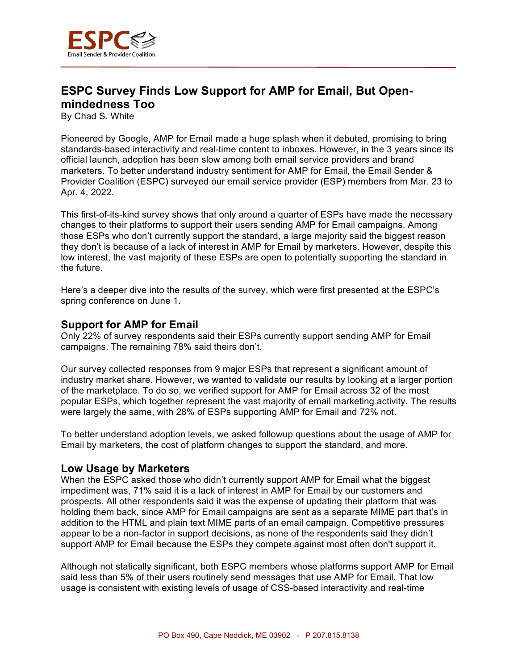

## **ESPC Survey Finds Low Support for AMP for Email, But Openmindedness Too**

By Chad S. White

Pioneered by Google, AMP for Email made a huge splash when it debuted, promising to bring standards-based interactivity and real-time content to inboxes. However, in the 3 years since its official launch, adoption has been slow among both email service providers and brand marketers. To better understand industry sentiment for AMP for Email, the Email Sender & Provider Coalition (ESPC) surveyed our email service provider (ESP) members from Mar. 23 to Apr. 4, 2022.

This first-of-its-kind survey shows that only around a quarter of ESPs have made the necessary changes to their platforms to support their users sending AMP for Email campaigns. Among those ESPs who don't currently support the standard, a large majority said the biggest reason they don't is because of a lack of interest in AMP for Email by marketers. However, despite this low interest, the vast majority of these ESPs are open to potentially supporting the standard in the future.

Here's a deeper dive into the results of the survey, which were first presented at the ESPC's spring conference on June 1.

## **Support for AMP for Email**

Only 22% of survey respondents said their ESPs currently support sending AMP for Email campaigns. The remaining 78% said theirs don't.

Our survey collected responses from 9 major ESPs that represent a significant amount of industry market share. However, we wanted to validate our results by looking at a larger portion of the marketplace. To do so, we verified support for AMP for Email across 32 of the most popular ESPs, which together represent the vast majority of email marketing activity. The results were largely the same, with 28% of ESPs supporting AMP for Email and 72% not.

To better understand adoption levels, we asked followup questions about the usage of AMP for Email by marketers, the cost of platform changes to support the standard, and more.

## **Low Usage by Marketers**

When the ESPC asked those who didn't currently support AMP for Email what the biggest impediment was, 71% said it is a lack of interest in AMP for Email by our customers and prospects. All other respondents said it was the expense of updating their platform that was holding them back, since AMP for Email campaigns are sent as a separate MIME part that's in addition to the HTML and plain text MIME parts of an email campaign. Competitive pressures appear to be a non-factor in support decisions, as none of the respondents said they didn't support AMP for Email because the ESPs they compete against most often don't support it.

Although not statically significant, both ESPC members whose platforms support AMP for Email said less than 5% of their users routinely send messages that use AMP for Email. That low usage is consistent with existing levels of usage of CSS-based interactivity and real-time